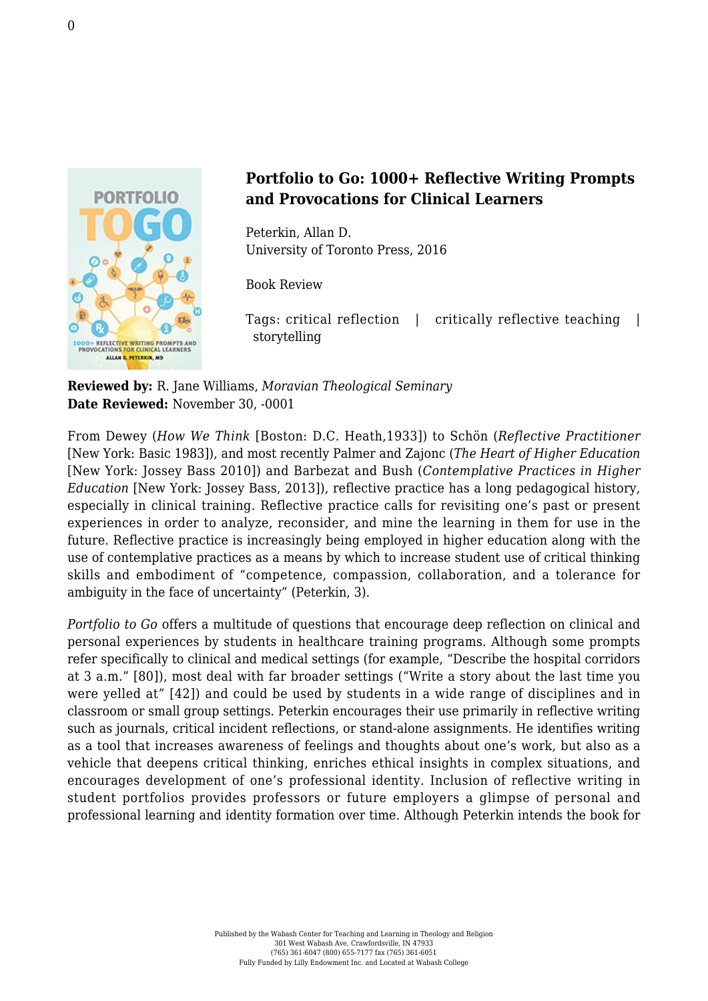

## **Portfolio to Go: 1000+ Reflective Writing Prompts and Provocations for Clinical Learners**

Peterkin, Allan D. [University of Toronto Press, 2016](https://utorontopress.com/us/portfolio-to-go-2)

Book Review

Tags: critical reflection | critically reflective teaching | storytelling

## **Reviewed by:** R. Jane Williams, *Moravian Theological Seminary* **Date Reviewed:** November 30, -0001

From Dewey (*How We Think* [Boston: D.C. Heath,1933]) to Schön (*Reflective Practitioner* [New York: Basic 1983]), and most recently Palmer and Zajonc (*The Heart of Higher Education* [New York: Jossey Bass 2010]) and Barbezat and Bush (*Contemplative Practices in Higher Education* [New York: Jossey Bass, 2013]), reflective practice has a long pedagogical history, especially in clinical training. Reflective practice calls for revisiting one's past or present experiences in order to analyze, reconsider, and mine the learning in them for use in the future. Reflective practice is increasingly being employed in higher education along with the use of contemplative practices as a means by which to increase student use of critical thinking skills and embodiment of "competence, compassion, collaboration, and a tolerance for ambiguity in the face of uncertainty" (Peterkin, 3).

*Portfolio to Go* offers a multitude of questions that encourage deep reflection on clinical and personal experiences by students in healthcare training programs. Although some prompts refer specifically to clinical and medical settings (for example, "Describe the hospital corridors at 3 a.m." [80]), most deal with far broader settings ("Write a story about the last time you were yelled at" [42]) and could be used by students in a wide range of disciplines and in classroom or small group settings. Peterkin encourages their use primarily in reflective writing such as journals, critical incident reflections, or stand-alone assignments. He identifies writing as a tool that increases awareness of feelings and thoughts about one's work, but also as a vehicle that deepens critical thinking, enriches ethical insights in complex situations, and encourages development of one's professional identity. Inclusion of reflective writing in student portfolios provides professors or future employers a glimpse of personal and professional learning and identity formation over time. Although Peterkin intends the book for